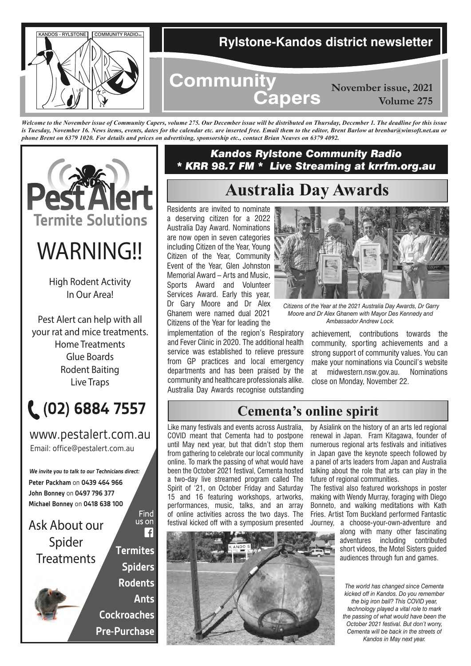

*Welcome to the November issue of Community Capers, volume 275. Our December issue will be distributed on Thursday, December 1. The deadline for this issue*  is Tuesday, November 16. News items, events, dates for the calendar etc. are inserted free. Email them to the editor, Brent Barlow at brenbar@winsoft.net.au or *phone Brent on 6379 1020. For details and prices on advertising, sponsorship etc., contact Brian Neaves on 6379 4092.*



# *WARNING!!*

High Rodent Activity In Our Area!

Pest Alert can help with all your rat and mice treatments. Home Treatments Glue Boards Rodent Baiting Live Traps



Email: office@pestalert.com.au www.pestalert.com.au

**Peter Packham** on **0439 464 966 John Bonney** on **0497 796 377 Michael Bonney** on **0418 638 100 We invite you to talk to our Technicians direct:**

*Ask About our Spider Treatments*

**Termites Spiders Rodents Ants Cockroaches Pre-Purchase**

Find us on  $\overline{\mathbf{f}}$ 

#### *Kandos Rylstone Community Radio \* KRR 98.7 FM \* Live Streaming at krrfm.org.au*

# **Australia Day Awards**

Residents are invited to nominate a deserving citizen for a 2022 Australia Day Award. Nominations are now open in seven categories including Citizen of the Year, Young Citizen of the Year, Community Event of the Year, Glen Johnston Memorial Award – Arts and Music, Sports Award and Volunteer Services Award. Early this year, Dr Gary Moore and Dr Alex Ghanem were named dual 2021 Citizens of the Year for leading the

implementation of the region's Respiratory and Fever Clinic in 2020. The additional health service was established to relieve pressure from GP practices and local emergency departments and has been praised by the community and healthcare professionals alike. Australia Day Awards recognise outstanding



 *Citizens of the Year at the 2021 Australia Day Awards, Dr Garry Moore and Dr Alex Ghanem with Mayor Des Kennedy and Ambassador Andrew Lock.*

achievement, contributions towards the community, sporting achievements and a strong support of community values. You can make your nominations via Council's website at midwestern.nsw.gov.au. Nominations close on Monday, November 22.

# **Cementa's online spirit**

Like many festivals and events across Australia, COVID meant that Cementa had to postpone until May next year, but that didn't stop them from gathering to celebrate our local community online. To mark the passing of what would have been the October 2021 festival, Cementa hosted a two-day live streamed program called The Spirit of '21, on October Friday and Saturday 15 and 16 featuring workshops, artworks, performances, music, talks, and an array of online activities across the two days. The festival kicked off with a symposium presented



The festival also featured workshops in poster making with Wendy Murray, foraging with Diego Bonneto, and walking meditations with Kath Fries. Artist Tom Buckland performed Fantastic Journey, a choose-your-own-adventure and

along with many other fascinating adventures including contributed short videos, the Motel Sisters guided audiences through fun and games.

*The world has changed since Cementa kicked off in Kandos. Do you remember the big iron ball? This COVID year, technology played a vital role to mark the passing of what would have been the October 2021 festival. But don't worry, Cementa will be back in the streets of Kandos in May next year.*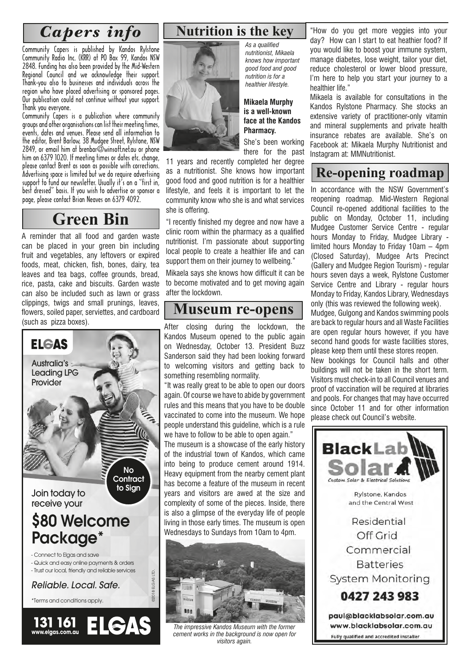# *Capers info*

Community Capers is published by Kandos Rylstone Community Radio Inc. (KRR) at PO Box 99, Kandos NSW 2848. Funding has also been provided by the Mid-Western Regional Council and we acknowledge their support. Thank-you also to businesses and individuals across the region who have placed advertising or sponsored pages. Our publication could not continue without your support. Thank you everyone.

Community Capers is a publication where community groups and other organisations can list their meeting times, events, dates and venues. Please send all information to the editor, Brent Barlow, 38 Mudgee Street, Rylstone, NSW  $2849$ , or email him at brenbar@winsoft.net.au or phone. him on 6379 1020. If meeting times or dates etc. change, please contact Brent as soon as possible with corrections. Advertising space is limited but we do require advertising support to fund our newsletter. Usually it's on a "first in, best dressed" basis. If you wish to advertise or sponsor a page, please contact Brian Neaves on 6379 4092.

# **Green Bin**

A reminder that all food and garden waste can be placed in your green bin including fruit and vegetables, any leftovers or expired foods, meat, chicken, fish, bones, dairy, tea leaves and tea bags, coffee grounds, bread, rice, pasta, cake and biscuits. Garden waste can also be included such as lawn or grass clippings, twigs and small prunings, leaves, flowers, soiled paper, serviettes, and cardboard (such as pizza boxes).



### **Nutrition is the key**



*As a qualified nutritionist, Mikaela knows how important good food and good nutrition is for a healthier lifestyle.*

#### **Mikaela Murphy is a well-known face at the Kandos Pharmacy.**

She's been working there for the past

11 years and recently completed her degree as a nutritionist. She knows how important good food and good nutrition is for a healthier lifestyle, and feels it is important to let the community know who she is and what services she is offering.

"I recently finished my degree and now have a clinic room within the pharmacy as a qualified nutritionist. I'm passionate about supporting local people to create a healthier life and can support them on their journey to wellbeing."

Mikaela says she knows how difficult it can be to become motivated and to get moving again after the lockdown.

#### **Museum re-opens**

After closing during the lockdown, the Kandos Museum opened to the public again on Wednesday, October 13. President Buzz Sanderson said they had been looking forward to welcoming visitors and getting back to something resembling normality.

"It was really great to be able to open our doors again. Of course we have to abide by government rules and this means that you have to be double vaccinated to come into the museum. We hope people understand this guideline, which is a rule we have to follow to be able to open again."

The museum is a showcase of the early history of the industrial town of Kandos, which came into being to produce cement around 1914. Heavy equipment from the nearby cement plant has become a feature of the museum in recent years and visitors are awed at the size and complexity of some of the pieces. Inside, there is also a glimpse of the everyday life of people living in those early times. The museum is open Wednesdays to Sundays from 10am to 4pm.



*The impressive Kandos Museum with the former cement works in the background is now open for visitors again.*

"How do you get more veggies into your day? How can I start to eat heathier food? If you would like to boost your immune system, manage diabetes, lose weight, tailor your diet, reduce cholesterol or lower blood pressure, I'm here to help you start your journey to a healthier life."

Mikaela is available for consultations in the Kandos Rylstone Pharmacy. She stocks an extensive variety of practitioner-only vitamin and mineral supplements and private health insurance rebates are available. She's on Facebook at: Mikaela Murphy Nutritionist and Instagram at: MMNutritionist.

# **Re-opening roadmap**

In accordance with the NSW Government's reopening roadmap. Mid-Western Regional Council re-opened additional facilities to the public on Monday, October 11, including Mudgee Customer Service Centre - regular hours Monday to Friday, Mudgee Library limited hours Monday to Friday 10am – 4pm (Closed Saturday), Mudgee Arts Precinct (Gallery and Mudgee Region Tourism) - regular hours seven days a week, Rylstone Customer Service Centre and Library - regular hours Monday to Friday, Kandos Library, Wednesdays only (this was reviewed the following week).

Mudgee, Gulgong and Kandos swimming pools are back to regular hours and all Waste Facilities are open regular hours however, if you have second hand goods for waste facilities stores, please keep them until these stores reopen.

New bookings for Council halls and other buildings will not be taken in the short term. Visitors must check-in to all Council venues and proof of vaccination will be required at libraries and pools. For changes that may have occurred since October 11 and for other information please check out Council's website.

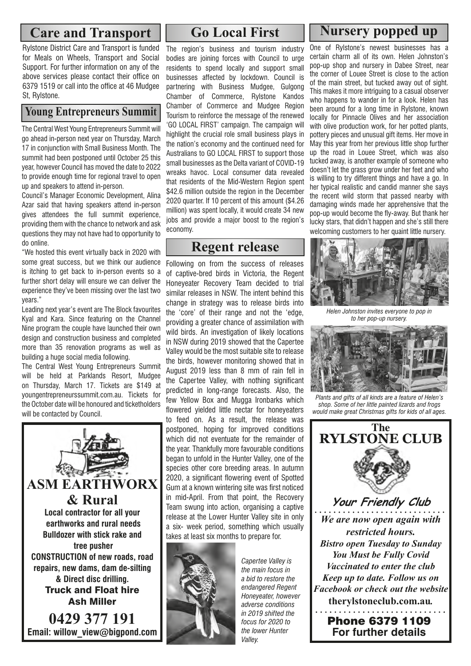#### **Care and Transport**

Rylstone District Care and Transport is funded for Meals on Wheels, Transport and Social Support. For further information on any of the above services please contact their office on 6379 1519 or call into the office at 46 Mudgee St, Rylstone.

#### **Young Entrepreneurs Summit**

The Central West Young Entrepreneurs Summit will go ahead in-person next year on Thursday, March 17 in conjunction with Small Business Month. The summit had been postponed until October 25 this year, however Council has moved the date to 2022 to provide enough time for regional travel to open up and speakers to attend in-person.

Council's Manager Economic Development, Alina Azar said that having speakers attend in-person gives attendees the full summit experience, providing them with the chance to network and ask questions they may not have had to opportunity to do online.

"We hosted this event virtually back in 2020 with some great success, but we think our audience is itching to get back to in-person events so a further short delay will ensure we can deliver the experience they've been missing over the last two years."

Leading next year's event are The Block favourites Kyal and Kara. Since featuring on the Channel Nine program the couple have launched their own design and construction business and completed more than 35 renovation programs as well as building a huge social media following.

The Central West Young Entrepreneurs Summit will be held at Parklands Resort. Mudgee on Thursday, March 17. Tickets are \$149 at youngentrepreneurssummit.com.au. Tickets for the October date will be honoured and ticketholders will be contacted by Council.



# **Go Local First**

The region's business and tourism industry bodies are joining forces with Council to urge residents to spend locally and support small businesses affected by lockdown. Council is partnering with Business Mudgee, Gulgong Chamber of Commerce, Rylstone Kandos Chamber of Commerce and Mudgee Region Tourism to reinforce the message of the renewed 'GO LOCAL FIRST' campaign. The campaign will highlight the crucial role small business plays in the nation's economy and the continued need for Australians to GO LOCAL FIRST to support those small businesses as the Delta variant of COVID-19 wreaks havoc. Local consumer data revealed that residents of the Mid-Western Region spent \$42.6 million outside the region in the December 2020 quarter. If 10 percent of this amount (\$4.26 million) was spent locally, it would create 34 new jobs and provide a major boost to the region's economy.

#### **Regent release**

Following on from the success of releases of captive-bred birds in Victoria, the Regent Honeyeater Recovery Team decided to trial similar releases in NSW. The intent behind this change in strategy was to release birds into the 'core' of their range and not the 'edge, providing a greater chance of assimilation with wild birds. An investigation of likely locations in NSW during 2019 showed that the Capertee Valley would be the most suitable site to release the birds, however monitoring showed that in August 2019 less than 8 mm of rain fell in the Capertee Valley, with nothing significant predicted in long-range forecasts. Also, the few Yellow Box and Mugga Ironbarks which flowered yielded little nectar for honeyeaters to feed on. As a result, the release was postponed, hoping for improved conditions which did not eventuate for the remainder of the year. Thankfully more favourable conditions began to unfold in the Hunter Valley, one of the species other core breeding areas. In autumn 2020, a significant flowering event of Spotted Gum at a known wintering site was first noticed in mid-April. From that point, the Recovery Team swung into action, organising a captive release at the Lower Hunter Valley site in only a six- week period, something which usually takes at least six months to prepare for.



*Capertee Valley is the main focus in a bid to restore the endangered Regent Honeyeater, however adverse conditions in 2019 shifted the focus for 2020 to the lower Hunter Valley.*

#### **Nursery popped up**

One of Rylstone's newest businesses has a certain charm all of its own. Helen Johnston's pop-up shop and nursery in Dabee Street, near the corner of Louee Street is close to the action of the main street, but tucked away out of sight. This makes it more intriguing to a casual observer who happens to wander in for a look. Helen has been around for a long time in Rylstone, known locally for Pinnacle Olives and her association with olive production work, for her potted plants, pottery pieces and unusual gift items. Her move in May this year from her previous little shop further up the road in Louee Street, which was also tucked away, is another example of someone who doesn't let the grass grow under her feet and who is willing to try different things and have a go. In her typical realistic and candid manner she says the recent wild storm that passed nearby with damaging winds made her apprehensive that the pop-up would become the fly-away. But thank her lucky stars, that didn't happen and she's still there welcoming customers to her quaint little nursery.



*Helen Johnston invites everyone to pop in to her pop-up nursery.*



*Plants and gifts of all kinds are a feature of Helen's shop. Some of her little painted lizards and frogs would make great Christmas gifts for kids of all ages.*



**For further details**